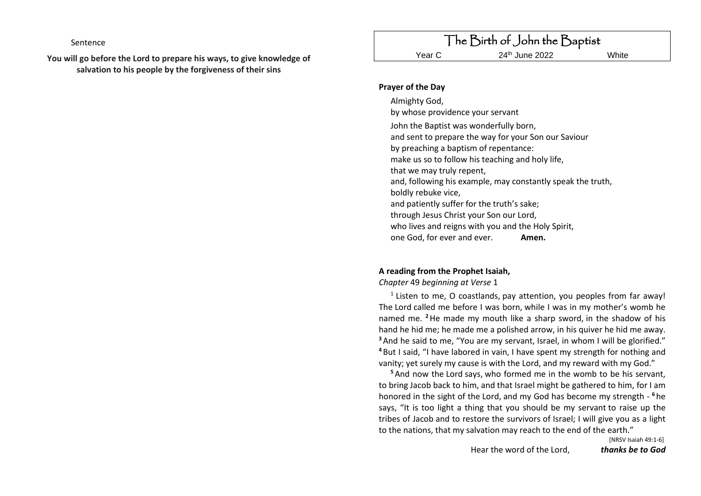Sentence

**You will go before the Lord to prepare his ways, to give knowledge of salvation to his people by the forgiveness of their sins**

#### **Prayer of the Day**

Almighty God, by whose providence your servant John the Baptist was wonderfully born, and sent to prepare the way for your Son our Saviour by preaching a baptism of repentance: make us so to follow his teaching and holy life, that we may truly repent, and, following his example, may constantly speak the truth, boldly rebuke vice, and patiently suffer for the truth's sake; through Jesus Christ your Son our Lord, who lives and reigns with you and the Holy Spirit, one God, for ever and ever. **Amen.**

# **A reading from the Prophet Isaiah,**

*Chapter* 49 *beginning at Verse* 1

 $<sup>1</sup>$  Listen to me, O coastlands, pay attention, you peoples from far away!</sup> The Lord called me before I was born, while I was in my mother's womb he named me. **<sup>2</sup>**He made my mouth like a sharp sword, in the shadow of his hand he hid me; he made me a polished arrow, in his quiver he hid me away. **<sup>3</sup>**And he said to me, "You are my servant, Israel, in whom I will be glorified." **<sup>4</sup>** But I said, "I have labored in vain, I have spent my strength for nothing and vanity; yet surely my cause is with the Lord, and my reward with my God."

**<sup>5</sup>**And now the Lord says, who formed me in the womb to be his servant, to bring Jacob back to him, and that Israel might be gathered to him, for I am honored in the sight of the Lord, and my God has become my strength - **<sup>6</sup>** he says, "It is too light a thing that you should be my servant to raise up the tribes of Jacob and to restore the survivors of Israel; I will give you as a light to the nations, that my salvation may reach to the end of the earth."

Hear the word of the Lord, *thanks be to God*